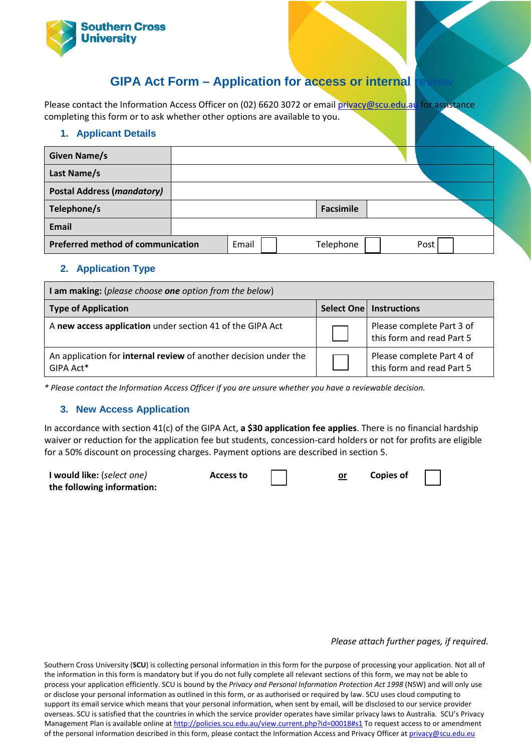

# **GIPA Act Form – Application for access or internal**

Please contact the Information Access Officer on (02) 6620 3072 or emai[l privacy@scu.edu.au](mailto:privacy@scu.edu.au) for assistance completing this form or to ask whether other options are available to you.

### **1. Applicant Details**

| <b>Given Name/s</b>                      |       |           |      |  |
|------------------------------------------|-------|-----------|------|--|
| Last Name/s                              |       |           |      |  |
| <b>Postal Address (mandatory)</b>        |       |           |      |  |
| Telephone/s                              |       | Facsimile |      |  |
| <b>Email</b>                             |       |           |      |  |
| <b>Preferred method of communication</b> | Email | Telephone | Post |  |

## **2. Application Type**

| I am making: (please choose one option from the below)                        |  |                                                        |  |  |
|-------------------------------------------------------------------------------|--|--------------------------------------------------------|--|--|
| <b>Type of Application</b>                                                    |  | <b>Select One   Instructions</b>                       |  |  |
| A new access application under section 41 of the GIPA Act                     |  | Please complete Part 3 of<br>this form and read Part 5 |  |  |
| An application for internal review of another decision under the<br>GIPA Act* |  | Please complete Part 4 of<br>this form and read Part 5 |  |  |

*\* Please contact the Information Access Officer if you are unsure whether you have a reviewable decision.*

## **3. New Access Application**

In accordance with section 41(c) of the GIPA Act, **a \$30 application fee applies**. There is no financial hardship waiver or reduction for the application fee but students, concession-card holders or not for profits are eligible for a 50% discount on processing charges. Payment options are described in section 5.

| I would like: (select one) | <b>Access to</b> |  | <b>Copies of</b> |  |
|----------------------------|------------------|--|------------------|--|
| the following information: |                  |  |                  |  |

#### *Please attach further pages, if required.*

Southern Cross University (**SCU**) is collecting personal information in this form for the purpose of processing your application. Not all of the information in this form is mandatory but if you do not fully complete all relevant sections of this form, we may not be able to process your application efficiently. SCU is bound by the *Privacy and Personal Information Protection Act 1998* (NSW) and will only use or disclose your personal information as outlined in this form, or as authorised or required by law. SCU uses cloud computing to support its email service which means that your personal information, when sent by email, will be disclosed to our service provider overseas. SCU is satisfied that the countries in which the service provider operates have similar privacy laws to Australia. SCU's Privacy Management Plan is available online at<http://policies.scu.edu.au/view.current.php?id=00018#s1></u> To request access to or amendment of the personal information described in this form, please contact the Information Access and Privacy Officer at privacy@scu.edu.eu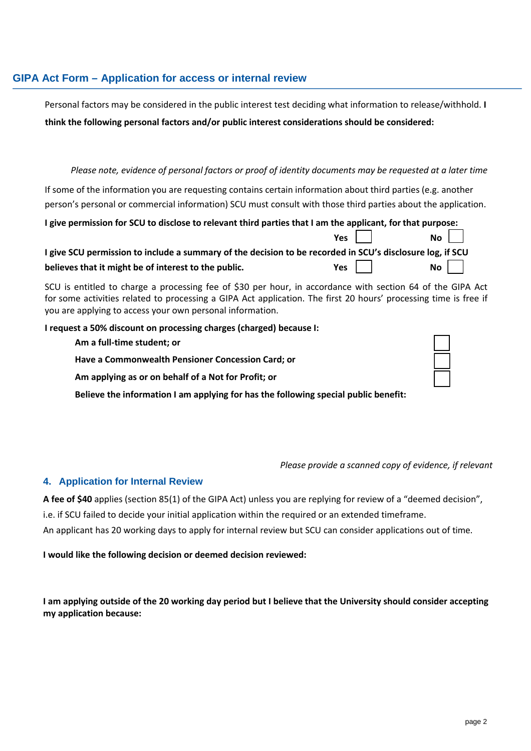# **GIPA Act Form – Application for access or internal review**

Personal factors may be considered in the public interest test deciding what information to release/withhold. **I** 

**think the following personal factors and/or public interest considerations should be considered:**

## Please note, evidence of personal factors or proof of identity documents may be requested at a later time

If some of the information you are requesting contains certain information about third parties (e.g. another person's personal or commercial information) SCU must consult with those third parties about the application.

| I give permission for SCU to disclose to relevant third parties that I am the applicant, for that purpose: |                     |               |
|------------------------------------------------------------------------------------------------------------|---------------------|---------------|
|                                                                                                            | Yes $\vert$ $\vert$ | $\mathsf{No}$ |
| I give SCU permission to include a summary of the decision to be recorded in SCU's disclosure log, if SCU  |                     |               |
| believes that it might be of interest to the public.                                                       | Yes                 | $\mathsf{No}$ |

SCU is entitled to charge a processing fee of \$30 per hour, in accordance with section 64 of the GIPA Act for some activities related to processing a GIPA Act application. The first 20 hours' processing time is free if you are applying to access your own personal information.

#### **I request a 50% discount on processing charges (charged) because I:**

**Am a full-time student; or Have a Commonwealth Pensioner Concession Card; or Am applying as or on behalf of a Not for Profit; or**

**Believe the information I am applying for has the following special public benefit:**

#### *Please provide a scanned copy of evidence, if relevant*

#### **4. Application for Internal Review**

**A fee of \$40** applies (section 85(1) of the GIPA Act) unless you are replying for review of a "deemed decision", i.e. if SCU failed to decide your initial application within the required or an extended timeframe. An applicant has 20 working days to apply for internal review but SCU can consider applications out of time.

**I would like the following decision or deemed decision reviewed:**

**I am applying outside of the 20 working day period but I believe that the University should consider accepting my application because:**